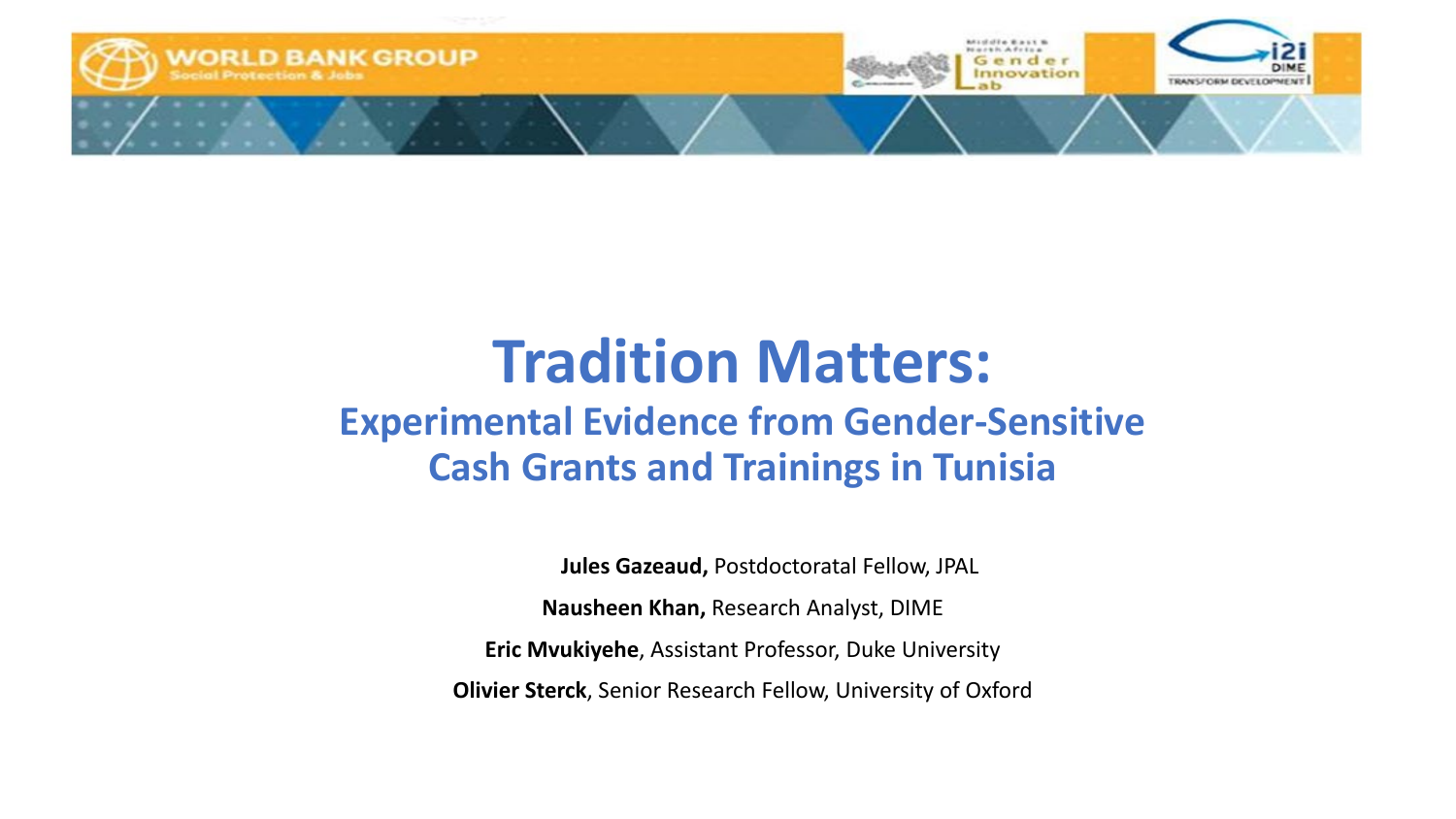

### **Tradition Matters: Experimental Evidence from Gender-Sensitive Cash Grants and Trainings in Tunisia**

**Jules Gazeaud,** Postdoctoratal Fellow, JPAL

**Nausheen Khan,** Research Analyst, DIME

**Eric Mvukiyehe**, Assistant Professor, Duke University

**Olivier Sterck**, Senior Research Fellow, University of Oxford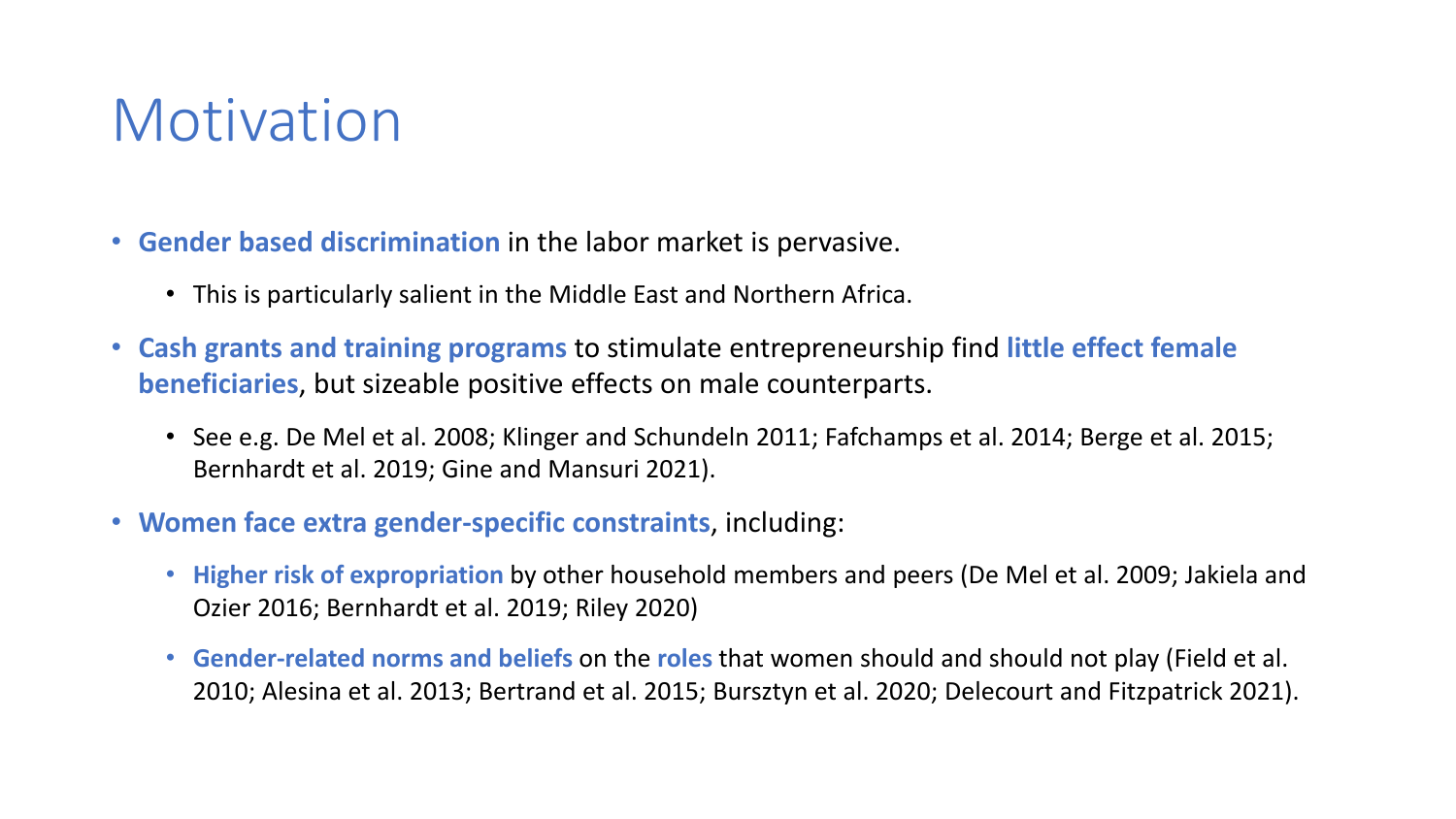## Motivation

- **Gender based discrimination** in the labor market is pervasive.
	- This is particularly salient in the Middle East and Northern Africa.
- **Cash grants and training programs** to stimulate entrepreneurship find **little effect female beneficiaries**, but sizeable positive effects on male counterparts.
	- See e.g. De Mel et al. 2008; Klinger and Schundeln 2011; Fafchamps et al. 2014; Berge et al. 2015; Bernhardt et al. 2019; Gine and Mansuri 2021).
- **Women face extra gender-specific constraints**, including:
	- **Higher risk of expropriation** by other household members and peers (De Mel et al. 2009; Jakiela and Ozier 2016; Bernhardt et al. 2019; Riley 2020)
	- **Gender-related norms and beliefs** on the **roles** that women should and should not play (Field et al. 2010; Alesina et al. 2013; Bertrand et al. 2015; Bursztyn et al. 2020; Delecourt and Fitzpatrick 2021).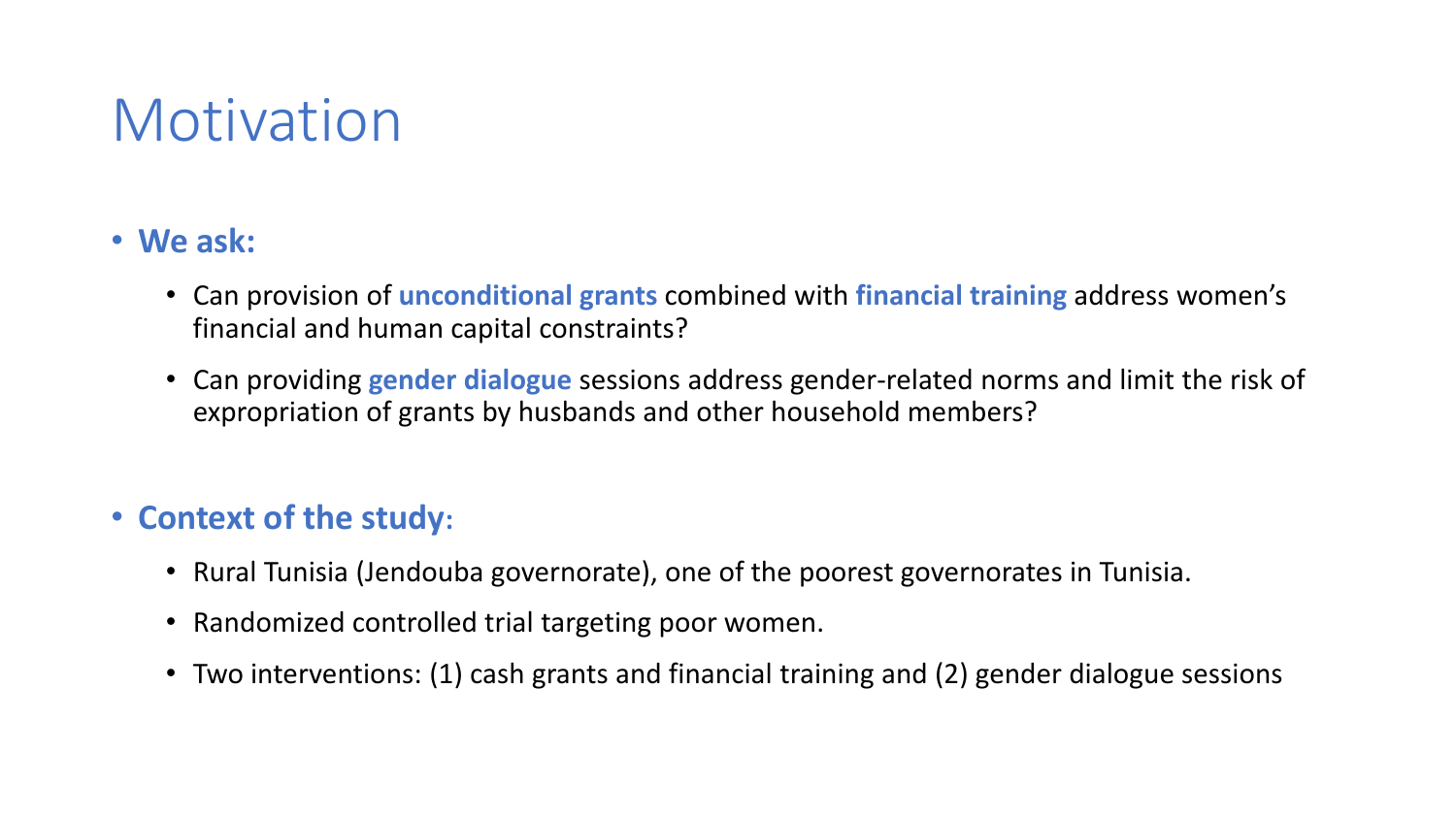## Motivation

### • **We ask:**

- Can provision of **unconditional grants** combined with **financial training** address women's financial and human capital constraints?
- Can providing **gender dialogue** sessions address gender-related norms and limit the risk of expropriation of grants by husbands and other household members?

### • **Context of the study:**

- Rural Tunisia (Jendouba governorate), one of the poorest governorates in Tunisia.
- Randomized controlled trial targeting poor women.
- Two interventions: (1) cash grants and financial training and (2) gender dialogue sessions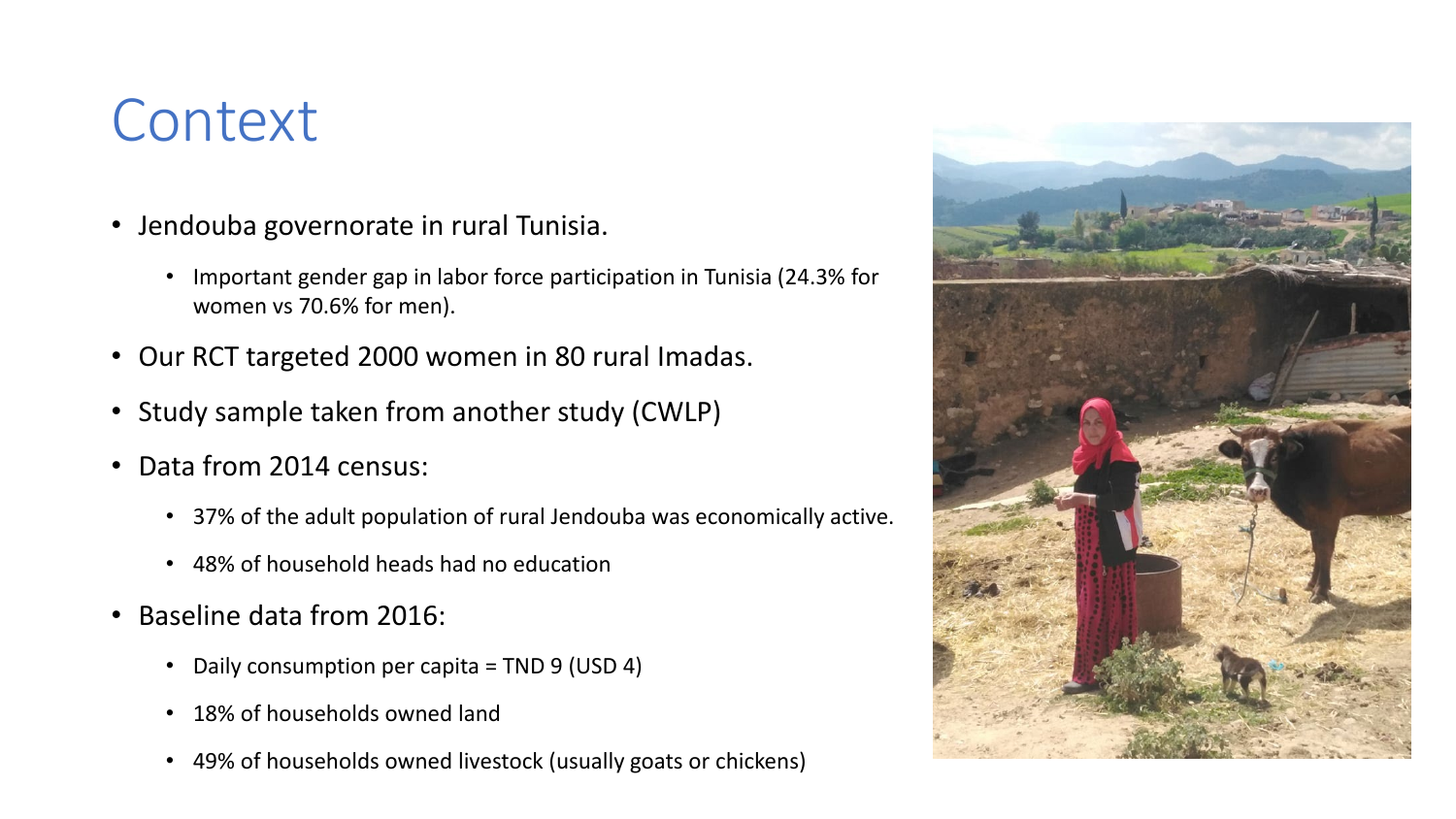## **Context**

- Jendouba governorate in rural Tunisia.
	- Important gender gap in labor force participation in Tunisia (24.3% for women vs 70.6% for men).
- Our RCT targeted 2000 women in 80 rural Imadas.
- Study sample taken from another study (CWLP)
- Data from 2014 census:
	- 37% of the adult population of rural Jendouba was economically active.
	- 48% of household heads had no education
- Baseline data from 2016:
	- Daily consumption per capita = TND 9 (USD 4)
	- 18% of households owned land
	- 49% of households owned livestock (usually goats or chickens)

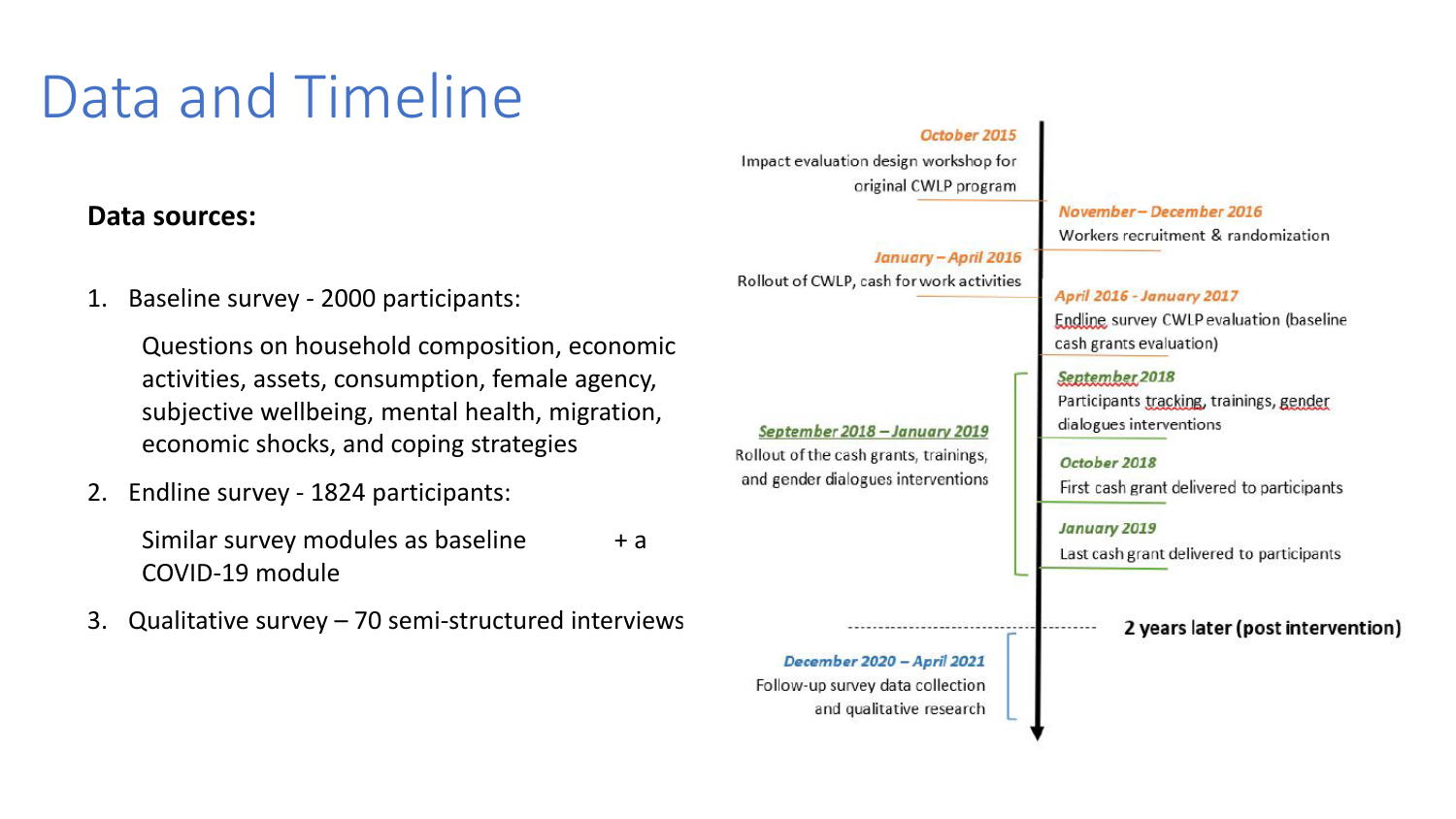# Data and Timeline

### **Data sources:**

1. Baseline survey - 2000 participants:

Questions on household composition, economic activities, assets, consumption, female agency, subjective wellbeing, mental health, migration, economic shocks, and coping strategies

2. Endline survey - 1824 participants:

Similar survey modules as baseline  $+ a$ COVID-19 module

3. Qualitative survey – 70 semi-structured interviews

#### October 2015

Impact evaluation design workshop for original CWLP program

January - April 2016 Rollout of CWLP, cash for work activities

September 2018 - January 2019 Rollout of the cash grants, trainings, and gender dialogues interventions November-December 2016 Workers recruitment & randomization

April 2016 - January 2017 Endline survey CWLP evaluation (baseline cash grants evaluation) September 2018

Participants tracking, trainings, gender dialogues interventions

October 2018 First cash grant delivered to participants

January 2019

Last cash grant delivered to participants

2 years later (post intervention)

December 2020 - April 2021 Follow-up survey data collection and qualitative research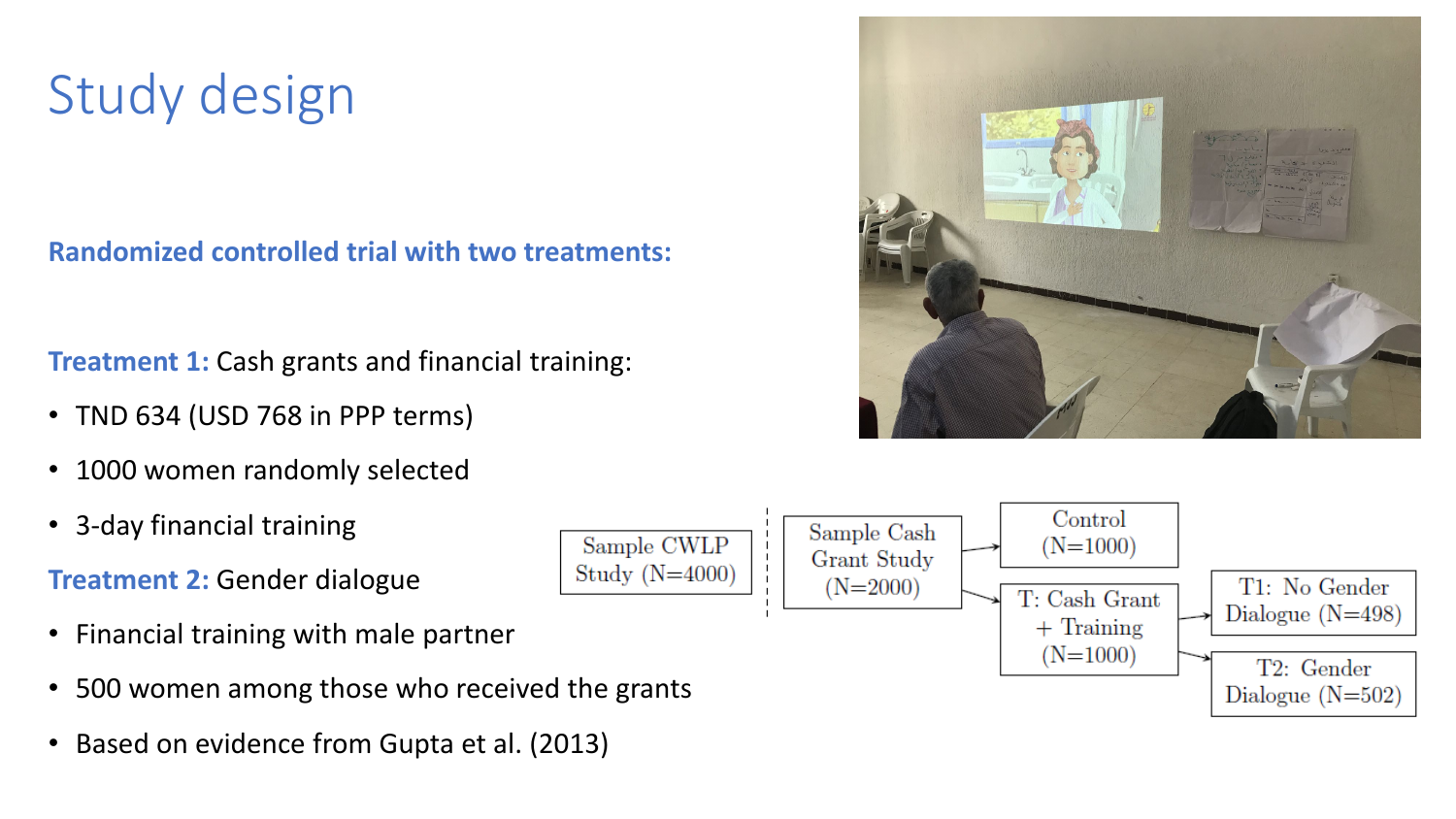## Study design

**Randomized controlled trial with two treatments:** 

**Treatment 1:** Cash grants and financial training:

- TND 634 (USD 768 in PPP terms)
- 1000 women randomly selected
- 3-day financial training

**Treatment 2:** Gender dialogue

- Financial training with male partner
- 500 women among those who received the grants
- Based on evidence from Gupta et al. (2013)



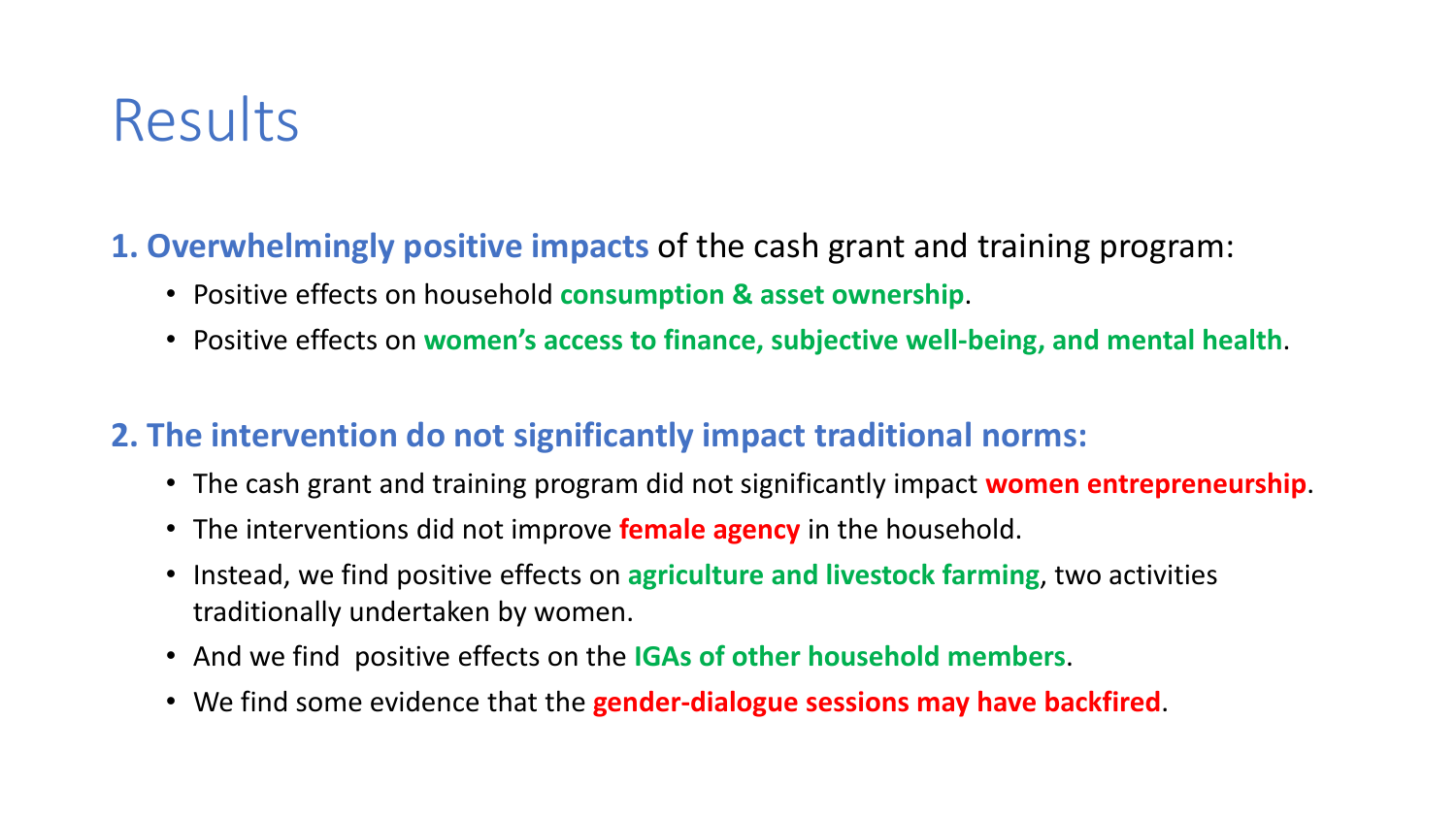## Results

### **1. Overwhelmingly positive impacts** of the cash grant and training program:

- Positive effects on household **consumption & asset ownership**.
- Positive effects on **women's access to finance, subjective well-being, and mental health**.

### **2. The intervention do not significantly impact traditional norms:**

- The cash grant and training program did not significantly impact **women entrepreneurship**.
- The interventions did not improve **female agency** in the household.
- Instead, we find positive effects on **agriculture and livestock farming**, two activities traditionally undertaken by women.
- And we find positive effects on the **IGAs of other household members**.
- We find some evidence that the **gender-dialogue sessions may have backfired**.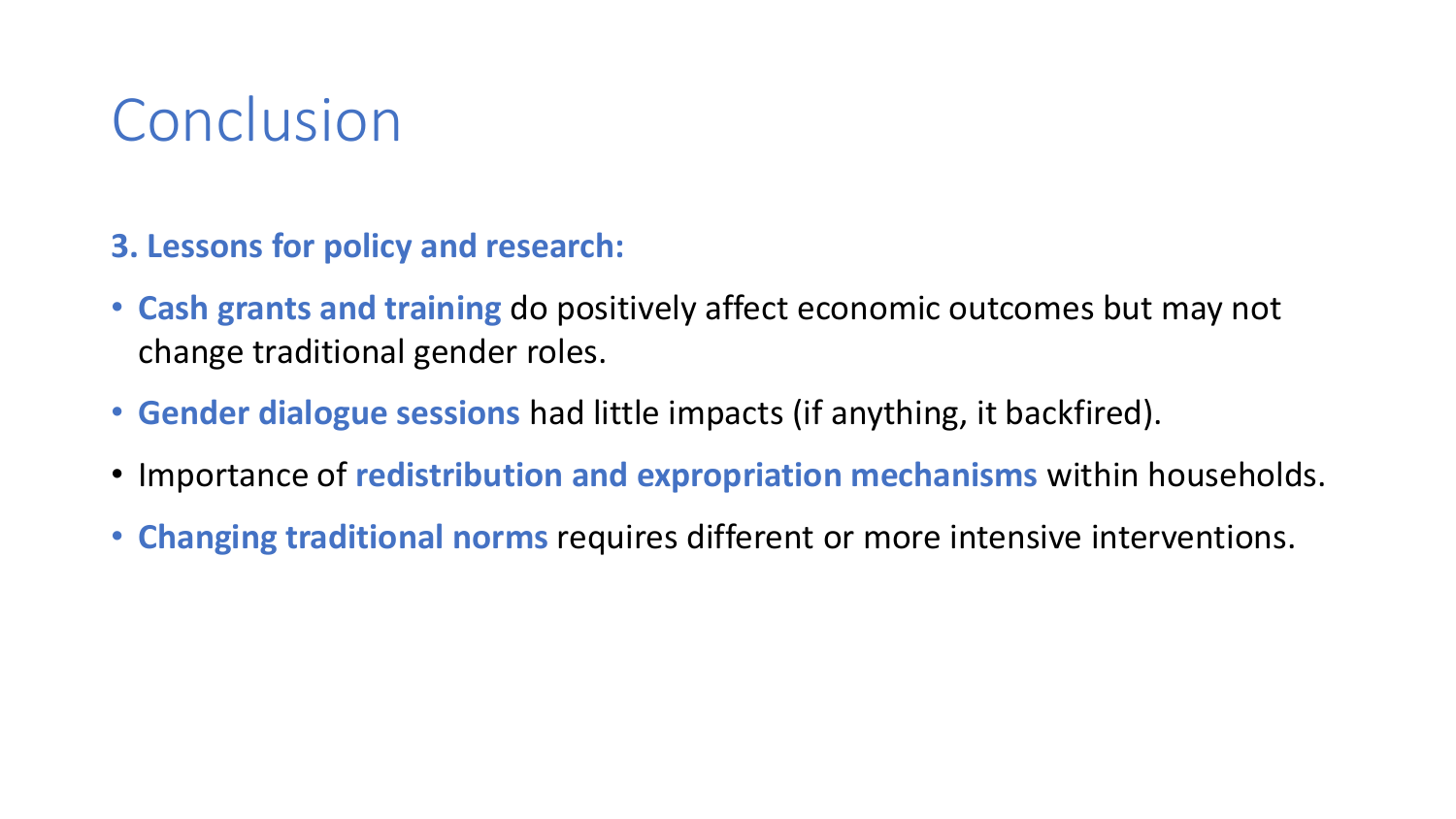## Conclusion

- **3. Lessons for policy and research:**
- **Cash grants and training** do positively affect economic outcomes but may not change traditional gender roles.
- **Gender dialogue sessions** had little impacts (if anything, it backfired).
- Importance of **redistribution and expropriation mechanisms** within households.
- **Changing traditional norms** requires different or more intensive interventions.